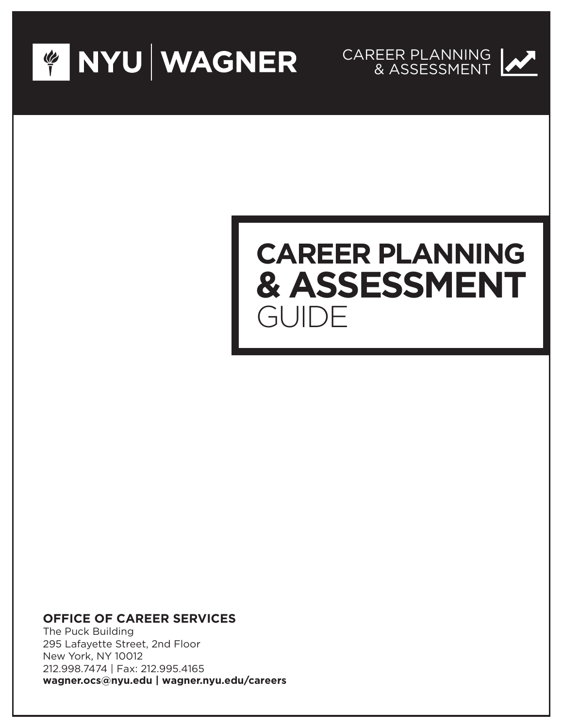



# **CAREER PLANNING & ASSESSMENT** GUIDE

### **OFFICE OF CAREER SERVICES**

The Puck Building 295 Lafayette Street, 2nd Floor New York, NY 10012 212.998.7474 | Fax: 212.995.4165 **wagner.ocs@nyu.edu | wagner.nyu.edu/careers**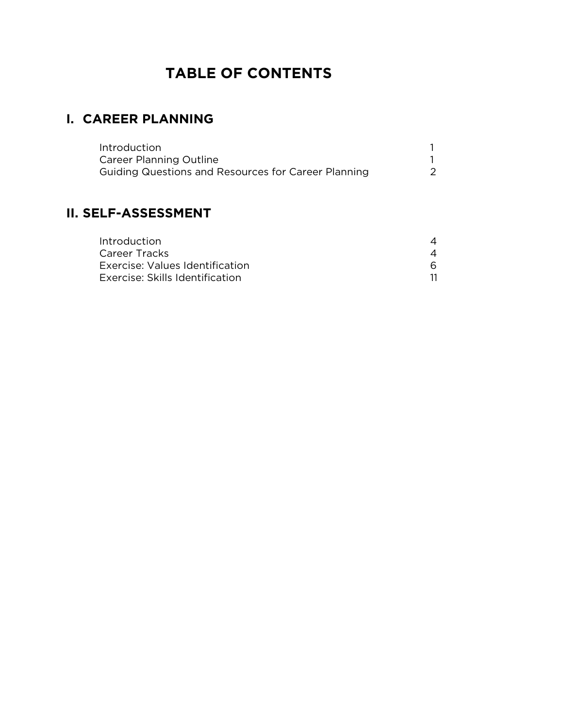## **TABLE OF CONTENTS**

### **I. CAREER PLANNING**

| Introduction                                        |  |
|-----------------------------------------------------|--|
| <b>Career Planning Outline</b>                      |  |
| Guiding Questions and Resources for Career Planning |  |

### **II. SELF-ASSESSMENT**

| Introduction                    |  |
|---------------------------------|--|
| Career Tracks                   |  |
| Exercise: Values Identification |  |
| Exercise: Skills Identification |  |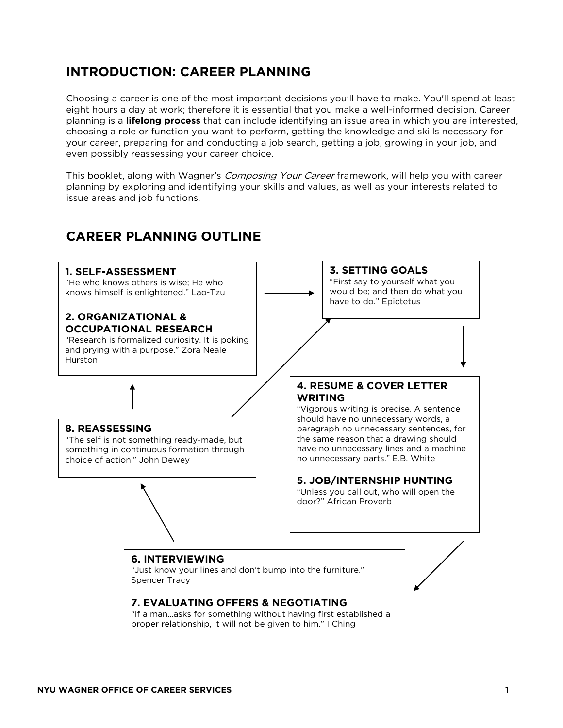### **INTRODUCTION: CAREER PLANNING**

Choosing a career is one of the most important decisions you'll have to make. You'll spend at least eight hours a day at work; therefore it is essential that you make a well-informed decision. Career planning is a **lifelong process** that can include identifying an issue area in which you are interested, choosing a role or function you want to perform, getting the knowledge and skills necessary for your career, preparing for and conducting a job search, getting a job, growing in your job, and even possibly reassessing your career choice.

This booklet, along with Wagner's Composing Your Career framework, will help you with career planning by exploring and identifying your skills and values, as well as your interests related to issue areas and job functions.



### **CAREER PLANNING OUTLINE**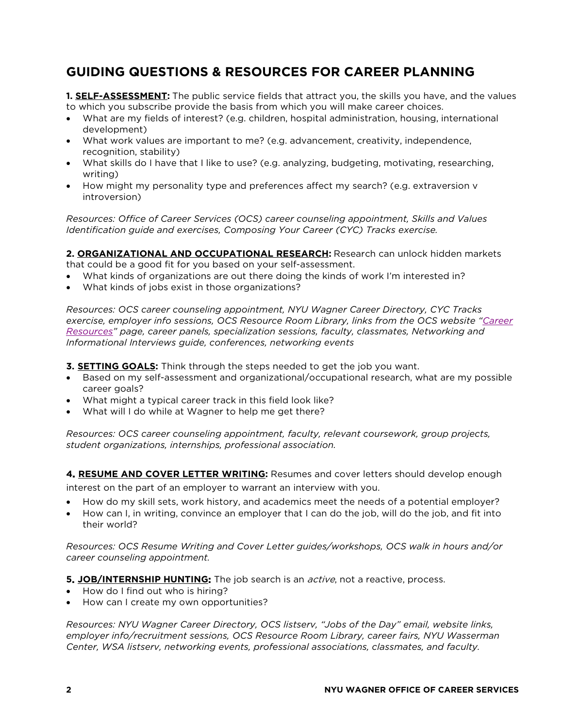### **GUIDING QUESTIONS & RESOURCES FOR CAREER PLANNING**

**1. SELF-ASSESSMENT:** The public service fields that attract you, the skills you have, and the values to which you subscribe provide the basis from which you will make career choices.

- What are my fields of interest? (e.g. children, hospital administration, housing, international development)
- What work values are important to me? (e.g. advancement, creativity, independence, recognition, stability)
- What skills do I have that I like to use? (e.g. analyzing, budgeting, motivating, researching, writing)
- How might my personality type and preferences affect my search? (e.g. extraversion v introversion)

*Resources: Office of Career Services (OCS) career counseling appointment, Skills and Values Identification guide and exercises, Composing Your Career (CYC) Tracks exercise.*

**2. ORGANIZATIONAL AND OCCUPATIONAL RESEARCH:** Research can unlock hidden markets that could be a good fit for you based on your self-assessment.

- What kinds of organizations are out there doing the kinds of work I'm interested in?
- What kinds of jobs exist in those organizations?

*Resources: OCS career counseling appointment, NYU Wagner Career Directory, CYC Tracks exercise, employer info sessions, OCS Resource Room Library, links from the OCS website ["Career](http://wagner.nyu.edu/careers/resources)  [Resources"](http://wagner.nyu.edu/careers/resources) page, career panels, specialization sessions, faculty, classmates, Networking and Informational Interviews guide, conferences, networking events*

**3. SETTING GOALS:** Think through the steps needed to get the job you want.

- Based on my self-assessment and organizational/occupational research, what are my possible career goals?
- What might a typical career track in this field look like?
- What will I do while at Wagner to help me get there?

*Resources: OCS career counseling appointment, faculty, relevant coursework, group projects, student organizations, internships, professional association.*

**4. RESUME AND COVER LETTER WRITING:** Resumes and cover letters should develop enough interest on the part of an employer to warrant an interview with you.

- How do my skill sets, work history, and academics meet the needs of a potential employer?
- How can I, in writing, convince an employer that I can do the job, will do the job, and fit into their world?

*Resources: OCS Resume Writing and Cover Letter guides/workshops, OCS walk in hours and/or career counseling appointment.*

**5. JOB/INTERNSHIP HUNTING:** The job search is an *active*, not a reactive, process.

- How do I find out who is hiring?
- How can I create my own opportunities?

*Resources: NYU Wagner Career Directory, OCS listserv, "Jobs of the Day" email, website links, employer info/recruitment sessions, OCS Resource Room Library, career fairs, NYU Wasserman Center, WSA listserv, networking events, professional associations, classmates, and faculty.*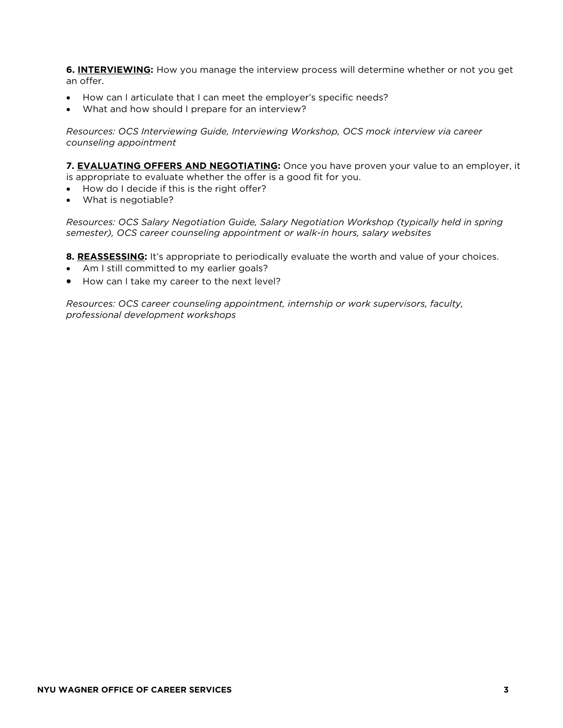**6. INTERVIEWING:** How you manage the interview process will determine whether or not you get an offer.

- How can I articulate that I can meet the employer's specific needs?
- What and how should I prepare for an interview?

*Resources: OCS Interviewing Guide, Interviewing Workshop, OCS mock interview via career counseling appointment*

**7. EVALUATING OFFERS AND NEGOTIATING:** Once you have proven your value to an employer, it is appropriate to evaluate whether the offer is a good fit for you.

- How do I decide if this is the right offer?
- What is negotiable?

*Resources: OCS Salary Negotiation Guide, Salary Negotiation Workshop (typically held in spring semester), OCS career counseling appointment or walk-in hours, salary websites*

**8. REASSESSING:** It's appropriate to periodically evaluate the worth and value of your choices.

- Am I still committed to my earlier goals?
- How can I take my career to the next level?

*Resources: OCS career counseling appointment, internship or work supervisors, faculty, professional development workshops*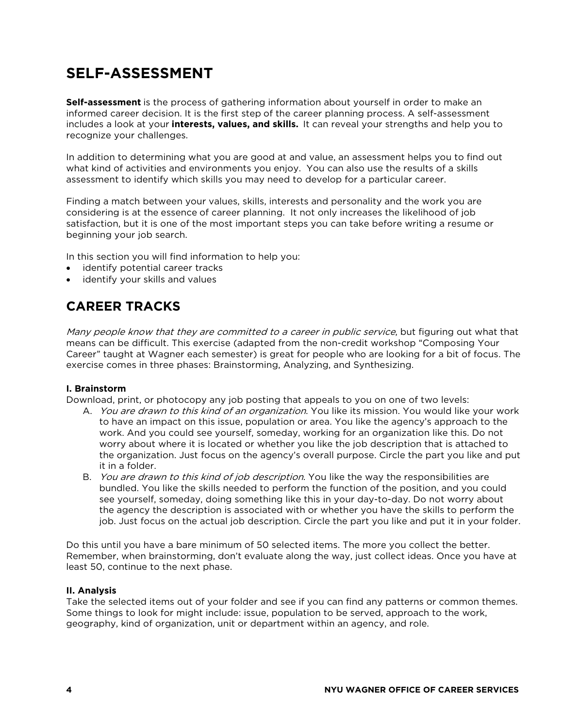### **SELF-ASSESSMENT**

**Self-assessment** is the process of gathering information about yourself in order to make an informed career decision. It is the first step of the career planning process. A self-assessment includes a look at your **interests, values, and skills.** It can reveal your strengths and help you to recognize your challenges.

In addition to determining what you are good at and value, an assessment helps you to find out what kind of activities and environments you enjoy. You can also use the results of a skills assessment to identify which skills you may need to develop for a particular career.

Finding a match between your values, skills, interests and personality and the work you are considering is at the essence of career planning. It not only increases the likelihood of job satisfaction, but it is one of the most important steps you can take before writing a resume or beginning your job search.

In this section you will find information to help you:

- identify potential career tracks
- identify your skills and values

### **CAREER TRACKS**

Many people know that they are committed to a career in public service, but figuring out what that means can be difficult. This exercise (adapted from the non-credit workshop "Composing Your Career'' taught at Wagner each semester) is great for people who are looking for a bit of focus. The exercise comes in three phases: Brainstorming, Analyzing, and Synthesizing.

#### **I. Brainstorm**

Download, print, or photocopy any job posting that appeals to you on one of two levels:

- A. You are drawn to this kind of an organization. You like its mission. You would like your work to have an impact on this issue, population or area. You like the agency's approach to the work. And you could see yourself, someday, working for an organization like this. Do not worry about where it is located or whether you like the job description that is attached to the organization. Just focus on the agency's overall purpose. Circle the part you like and put it in a folder.
- B. You are drawn to this kind of job description. You like the way the responsibilities are bundled. You like the skills needed to perform the function of the position, and you could see yourself, someday, doing something like this in your day-to-day. Do not worry about the agency the description is associated with or whether you have the skills to perform the job. Just focus on the actual job description. Circle the part you like and put it in your folder.

Do this until you have a bare minimum of 50 selected items. The more you collect the better. Remember, when brainstorming, don't evaluate along the way, just collect ideas. Once you have at least 50, continue to the next phase.

#### **II. Analysis**

Take the selected items out of your folder and see if you can find any patterns or common themes. Some things to look for might include: issue, population to be served, approach to the work, geography, kind of organization, unit or department within an agency, and role.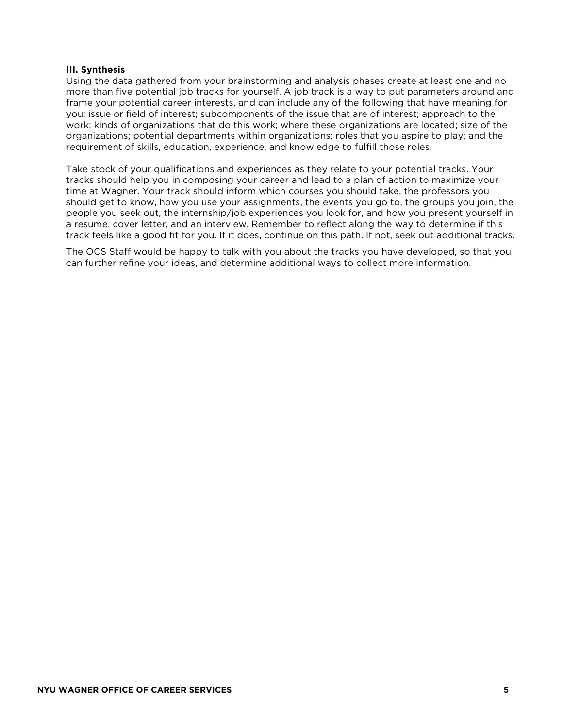#### **III. Synthesis**

Using the data gathered from your brainstorming and analysis phases create at least one and no more than five potential job tracks for yourself. A job track is a way to put parameters around and frame your potential career interests, and can include any of the following that have meaning for you: issue or field of interest; subcomponents of the issue that are of interest; approach to the work; kinds of organizations that do this work; where these organizations are located; size of the organizations; potential departments within organizations; roles that you aspire to play; and the requirement of skills, education, experience, and knowledge to fulfill those roles.

Take stock of your qualifications and experiences as they relate to your potential tracks. Your tracks should help you in composing your career and lead to a plan of action to maximize your time at Wagner. Your track should inform which courses you should take, the professors you should get to know, how you use your assignments, the events you go to, the groups you join, the people you seek out, the internship/job experiences you look for, and how you present yourself in a resume, cover letter, and an interview. Remember to reflect along the way to determine if this track feels like a good fit for you. If it does, continue on this path. If not, seek out additional tracks.

The OCS Staff would be happy to talk with you about the tracks you have developed, so that you can further refine your ideas, and determine additional ways to collect more information.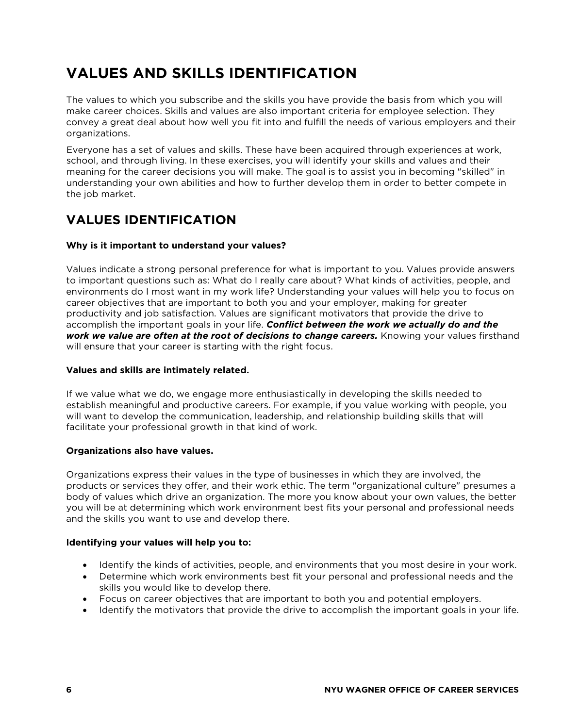## **VALUES AND SKILLS IDENTIFICATION**

The values to which you subscribe and the skills you have provide the basis from which you will make career choices. Skills and values are also important criteria for employee selection. They convey a great deal about how well you fit into and fulfill the needs of various employers and their organizations.

Everyone has a set of values and skills. These have been acquired through experiences at work, school, and through living. In these exercises, you will identify your skills and values and their meaning for the career decisions you will make. The goal is to assist you in becoming "skilled" in understanding your own abilities and how to further develop them in order to better compete in the job market.

### **VALUES IDENTIFICATION**

### **Why is it important to understand your values?**

Values indicate a strong personal preference for what is important to you. Values provide answers to important questions such as: What do I really care about? What kinds of activities, people, and environments do I most want in my work life? Understanding your values will help you to focus on career objectives that are important to both you and your employer, making for greater productivity and job satisfaction. Values are significant motivators that provide the drive to accomplish the important goals in your life. *Conflict between the work we actually do and the work we value are often at the root of decisions to change careers.* Knowing your values firsthand will ensure that your career is starting with the right focus.

#### **Values and skills are intimately related.**

If we value what we do, we engage more enthusiastically in developing the skills needed to establish meaningful and productive careers. For example, if you value working with people, you will want to develop the communication, leadership, and relationship building skills that will facilitate your professional growth in that kind of work.

#### **Organizations also have values.**

Organizations express their values in the type of businesses in which they are involved, the products or services they offer, and their work ethic. The term "organizational culture" presumes a body of values which drive an organization. The more you know about your own values, the better you will be at determining which work environment best fits your personal and professional needs and the skills you want to use and develop there.

#### **Identifying your values will help you to:**

- Identify the kinds of activities, people, and environments that you most desire in your work.
- Determine which work environments best fit your personal and professional needs and the skills you would like to develop there.
- Focus on career objectives that are important to both you and potential employers.
- Identify the motivators that provide the drive to accomplish the important goals in your life.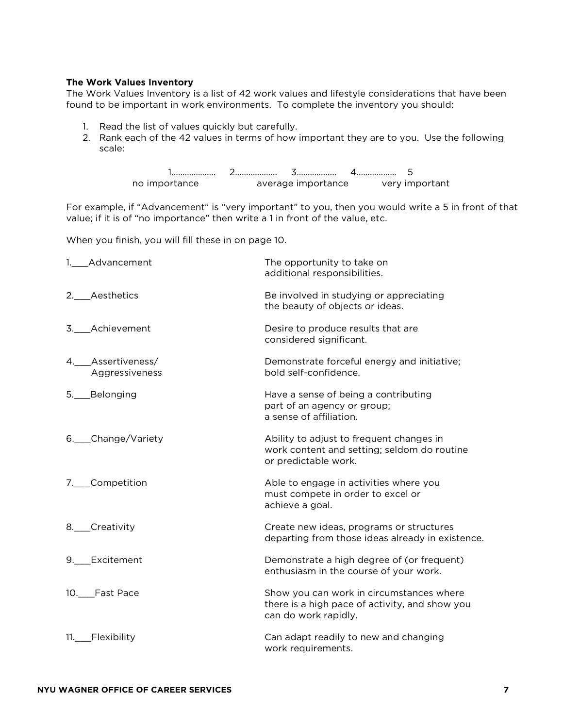#### **The Work Values Inventory**

The Work Values Inventory is a list of 42 work values and lifestyle considerations that have been found to be important in work environments. To complete the inventory you should:

- 1. Read the list of values quickly but carefully.
- 2. Rank each of the 42 values in terms of how important they are to you. Use the following scale:

 1……………….. 2………………. 3……………... 4……………… 5 average importance very important

For example, if "Advancement" is "very important" to you, then you would write a 5 in front of that value; if it is of "no importance" then write a 1 in front of the value, etc.

When you finish, you will fill these in on page 10.

| 1. Advancement                      | The opportunity to take on<br>additional responsibilities.                                                         |
|-------------------------------------|--------------------------------------------------------------------------------------------------------------------|
| 2. Aesthetics                       | Be involved in studying or appreciating<br>the beauty of objects or ideas.                                         |
| 3. Achievement                      | Desire to produce results that are<br>considered significant.                                                      |
| 4. Assertiveness/<br>Aggressiveness | Demonstrate forceful energy and initiative;<br>bold self-confidence.                                               |
| Belonging<br>5.                     | Have a sense of being a contributing<br>part of an agency or group;<br>a sense of affiliation.                     |
| 6. Change/Variety                   | Ability to adjust to frequent changes in<br>work content and setting; seldom do routine<br>or predictable work.    |
| 7.___Competition                    | Able to engage in activities where you<br>must compete in order to excel or<br>achieve a goal.                     |
| 8. Creativity                       | Create new ideas, programs or structures<br>departing from those ideas already in existence.                       |
| Excitement<br>9.                    | Demonstrate a high degree of (or frequent)<br>enthusiasm in the course of your work.                               |
| 10. Fast Pace                       | Show you can work in circumstances where<br>there is a high pace of activity, and show you<br>can do work rapidly. |
| 11. Flexibility                     | Can adapt readily to new and changing<br>work requirements.                                                        |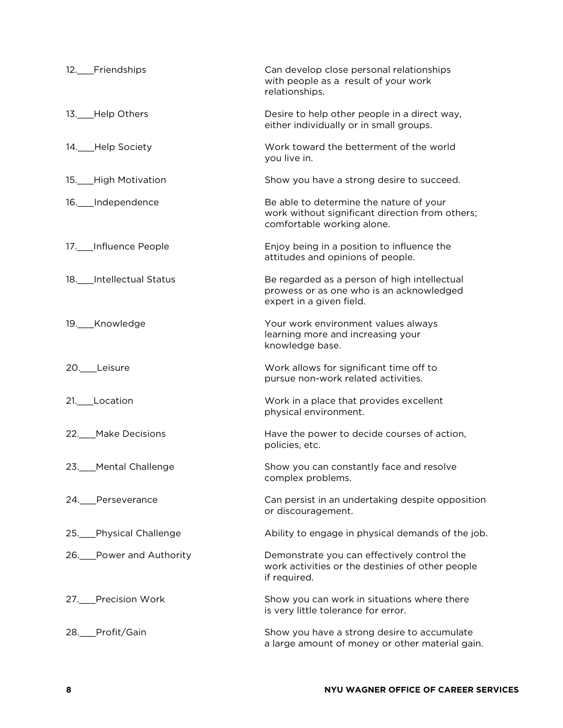| 12.__Friendships                    | Can develop close personal relationships<br>with people as a result of your work<br>relationships.                       |
|-------------------------------------|--------------------------------------------------------------------------------------------------------------------------|
| 13. Help Others                     | Desire to help other people in a direct way,<br>either individually or in small groups.                                  |
| 14.___Help Society                  | Work toward the betterment of the world<br>you live in.                                                                  |
| 15. High Motivation                 | Show you have a strong desire to succeed.                                                                                |
| 16. __ Independence                 | Be able to determine the nature of your<br>work without significant direction from others;<br>comfortable working alone. |
| 17. ___ Influence People            | Enjoy being in a position to influence the<br>attitudes and opinions of people.                                          |
| 18. Intellectual Status             | Be regarded as a person of high intellectual<br>prowess or as one who is an acknowledged<br>expert in a given field.     |
| 19. Knowledge                       | Your work environment values always<br>learning more and increasing your<br>knowledge base.                              |
| 20. Leisure                         | Work allows for significant time off to<br>pursue non-work related activities.                                           |
| 21. Location                        | Work in a place that provides excellent<br>physical environment.                                                         |
| 22. Make Decisions                  | Have the power to decide courses of action,<br>policies, etc.                                                            |
| 23.__Mental Challenge               | Show you can constantly face and resolve<br>complex problems.                                                            |
| 24.<br>Perseverance                 | Can persist in an undertaking despite opposition<br>or discouragement.                                                   |
| Physical Challenge<br>25.           | Ability to engage in physical demands of the job.                                                                        |
| Power and Authority<br><u>26. _</u> | Demonstrate you can effectively control the<br>work activities or the destinies of other people<br>if required.          |
| <b>Precision Work</b><br>27.        | Show you can work in situations where there<br>is very little tolerance for error.                                       |
| Profit/Gain<br>28.                  | Show you have a strong desire to accumulate<br>a large amount of money or other material gain.                           |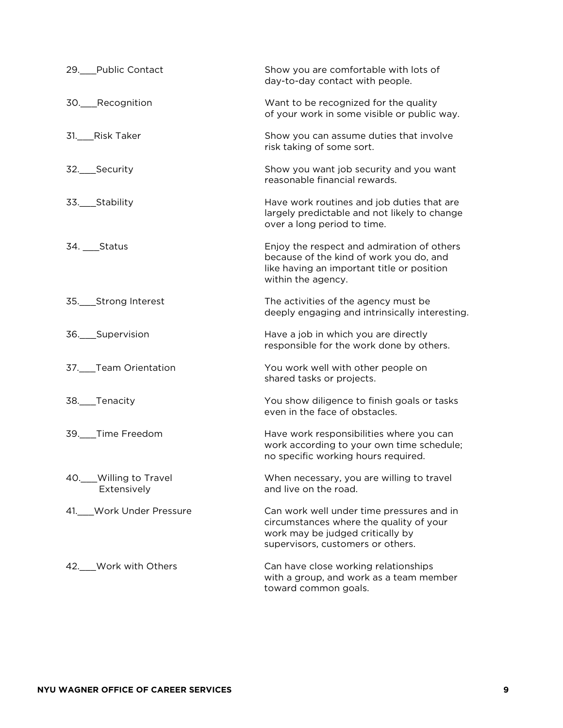| 29. Public Contact                   | Show you are comfortable with lots of<br>day-to-day contact with people.                                                                                      |
|--------------------------------------|---------------------------------------------------------------------------------------------------------------------------------------------------------------|
| 30. Recognition                      | Want to be recognized for the quality<br>of your work in some visible or public way.                                                                          |
| 31. Risk Taker                       | Show you can assume duties that involve<br>risk taking of some sort.                                                                                          |
| 32. Security                         | Show you want job security and you want<br>reasonable financial rewards.                                                                                      |
| 33. Stability                        | Have work routines and job duties that are<br>largely predictable and not likely to change<br>over a long period to time.                                     |
| 34. ___Status                        | Enjoy the respect and admiration of others<br>because of the kind of work you do, and<br>like having an important title or position<br>within the agency.     |
| 35.___Strong Interest                | The activities of the agency must be<br>deeply engaging and intrinsically interesting.                                                                        |
| 36. Supervision                      | Have a job in which you are directly<br>responsible for the work done by others.                                                                              |
| 37. Team Orientation                 | You work well with other people on<br>shared tasks or projects.                                                                                               |
| 38. Tenacity                         | You show diligence to finish goals or tasks<br>even in the face of obstacles.                                                                                 |
| 39.___Time Freedom                   | Have work responsibilities where you can<br>work according to your own time schedule;<br>no specific working hours required.                                  |
| 40. Willing to Travel<br>Extensively | When necessary, you are willing to travel<br>and live on the road.                                                                                            |
| Work Under Pressure<br>41.           | Can work well under time pressures and in<br>circumstances where the quality of your<br>work may be judged critically by<br>supervisors, customers or others. |
| 42. Work with Others                 | Can have close working relationships<br>with a group, and work as a team member<br>toward common goals.                                                       |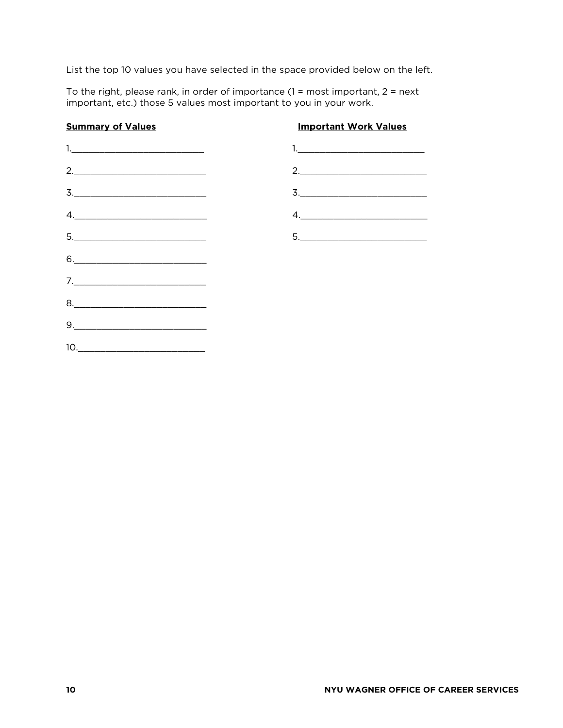List the top 10 values you have selected in the space provided below on the left.

To the right, please rank, in order of importance  $(1 = \text{most important}, 2 = \text{next})$ important, etc.) those 5 values most important to you in your work.

#### **Summary of Values Important Work Values**

| $\begin{tabular}{ c c c c } \hline $1$, & \hline \end{tabular}$                                                                                                                                                                                                                                                                                                                                                                                                                                     |                                                                                                                                                                                                                                                                                                                                                                                                                                                                                                     |
|-----------------------------------------------------------------------------------------------------------------------------------------------------------------------------------------------------------------------------------------------------------------------------------------------------------------------------------------------------------------------------------------------------------------------------------------------------------------------------------------------------|-----------------------------------------------------------------------------------------------------------------------------------------------------------------------------------------------------------------------------------------------------------------------------------------------------------------------------------------------------------------------------------------------------------------------------------------------------------------------------------------------------|
| 2.                                                                                                                                                                                                                                                                                                                                                                                                                                                                                                  | 2.                                                                                                                                                                                                                                                                                                                                                                                                                                                                                                  |
| $\mathsf{3.}\hspace{10em} \rule{0.2cm}{0.2cm} \overbrace{\rule{2.2cm}{0.2cm}}$                                                                                                                                                                                                                                                                                                                                                                                                                      | $\begin{tabular}{c} $3$. \end{tabular}$                                                                                                                                                                                                                                                                                                                                                                                                                                                             |
| $\begin{array}{c} \n4. \quad \textcolor{blue}{\textbf{12.12}} \quad \textcolor{blue}{\textbf{13.13}} \quad \textcolor{blue}{\textbf{14.13}} \quad \textcolor{blue}{\textbf{15.13}} \quad \textcolor{blue}{\textbf{16.13}} \quad \textcolor{blue}{\textbf{17.13}} \quad \textcolor{blue}{\textbf{18.13}} \quad \textcolor{blue}{\textbf{19.13}} \quad \textcolor{blue}{\textbf{19.13}} \quad \textcolor{blue}{\textbf{19.13}} \quad \textcolor{blue}{\textbf{19.13}} \quad \textcolor{blue}{\textbf$ | $\begin{array}{c} \n4. \quad \textcolor{blue}{\textbf{12.12}} \quad \textcolor{blue}{\textbf{24.13}} \quad \textcolor{blue}{\textbf{25.13}} \quad \textcolor{blue}{\textbf{26.13}} \quad \textcolor{blue}{\textbf{27.13}} \quad \textcolor{blue}{\textbf{28.13}} \quad \textcolor{blue}{\textbf{29.13}} \quad \textcolor{blue}{\textbf{21.13}} \quad \textcolor{blue}{\textbf{21.13}} \quad \textcolor{blue}{\textbf{21.13}} \quad \textcolor{blue}{\textbf{21.13}} \quad \textcolor{blue}{\textbf$ |
|                                                                                                                                                                                                                                                                                                                                                                                                                                                                                                     |                                                                                                                                                                                                                                                                                                                                                                                                                                                                                                     |
| $6. \underline{\hspace{2cm}}$                                                                                                                                                                                                                                                                                                                                                                                                                                                                       |                                                                                                                                                                                                                                                                                                                                                                                                                                                                                                     |
| $\begin{tabular}{c} $7$.\hspace{2em} \begin{tabular}{@{}c@{}} \multicolumn{3}{c} {\bf 2} & \multicolumn{3}{c} {\bf 3} & \multicolumn{3}{c} {\bf 4} & \multicolumn{3}{c} {\bf 5} & \multicolumn{3}{c} {\bf 6} & \multicolumn{3}{c} {\bf 7} & \multicolumn{3}{c} {\bf 6} & \multicolumn{3}{c} {\bf 7} & \multicolumn{3}{c} {\bf 8} & \multicolumn{3}{c} {\bf 9} & \multicolumn{3}{c} {\bf 1} & \multicolumn{3}{c} {\bf 1} & \multicolumn{3}{c} {\$                                                    |                                                                                                                                                                                                                                                                                                                                                                                                                                                                                                     |
| $8. \qquad \qquad 8. \qquad \qquad 8. \qquad \qquad 1. \qquad \qquad 1. \qquad \qquad 1. \qquad \qquad 1. \qquad \qquad 1. \qquad \qquad 1. \qquad \qquad 1. \qquad \qquad 1. \qquad \qquad 1. \qquad \qquad 1. \qquad \qquad 1. \qquad \qquad 1. \qquad \qquad 1. \qquad \qquad 1. \qquad \qquad 1. \qquad \qquad 1. \qquad \qquad 1. \qquad \qquad 1. \qquad \qquad 1. \qquad \qquad 1. \qquad \qquad 1. \qquad \qquad 1. \q$                                                                     |                                                                                                                                                                                                                                                                                                                                                                                                                                                                                                     |
| $9. \qquad \qquad \overbrace{\qquad \qquad }$                                                                                                                                                                                                                                                                                                                                                                                                                                                       |                                                                                                                                                                                                                                                                                                                                                                                                                                                                                                     |
|                                                                                                                                                                                                                                                                                                                                                                                                                                                                                                     |                                                                                                                                                                                                                                                                                                                                                                                                                                                                                                     |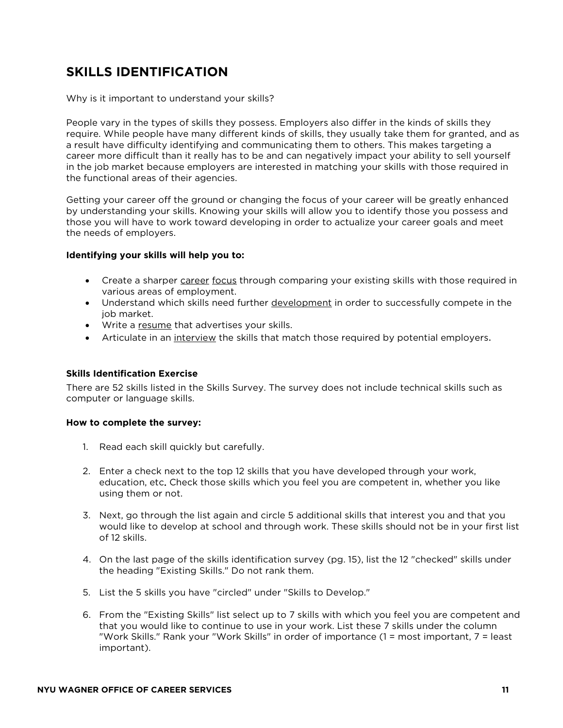### **SKILLS IDENTIFICATION**

#### Why is it important to understand your skills?

People vary in the types of skills they possess. Employers also differ in the kinds of skills they require. While people have many different kinds of skills, they usually take them for granted, and as a result have difficulty identifying and communicating them to others. This makes targeting a career more difficult than it really has to be and can negatively impact your ability to sell yourself in the job market because employers are interested in matching your skills with those required in the functional areas of their agencies.

Getting your career off the ground or changing the focus of your career will be greatly enhanced by understanding your skills. Knowing your skills will allow you to identify those you possess and those you will have to work toward developing in order to actualize your career goals and meet the needs of employers.

#### **Identifying your skills will help you to:**

- Create a sharper career focus through comparing your existing skills with those required in various areas of employment.
- Understand which skills need further development in order to successfully compete in the job market.
- Write a resume that advertises your skills.
- Articulate in an interview the skills that match those required by potential employers.

#### **Skills Identification Exercise**

There are 52 skills listed in the Skills Survey. The survey does not include technical skills such as computer or language skills.

#### **How to complete the survey:**

- 1. Read each skill quickly but carefully.
- 2. Enter a check next to the top 12 skills that you have developed through your work, education, etc. Check those skills which you feel you are competent in, whether you like using them or not.
- 3. Next, go through the list again and circle 5 additional skills that interest you and that you would like to develop at school and through work. These skills should not be in your first list of 12 skills.
- 4. On the last page of the skills identification survey (pg. 15), list the 12 "checked" skills under the heading "Existing Skills." Do not rank them.
- 5. List the 5 skills you have "circled" under "Skills to Develop."
- 6. From the "Existing Skills" list select up to 7 skills with which you feel you are competent and that you would like to continue to use in your work. List these 7 skills under the column "Work Skills." Rank your "Work Skills" in order of importance (1 = most important, 7 = least important).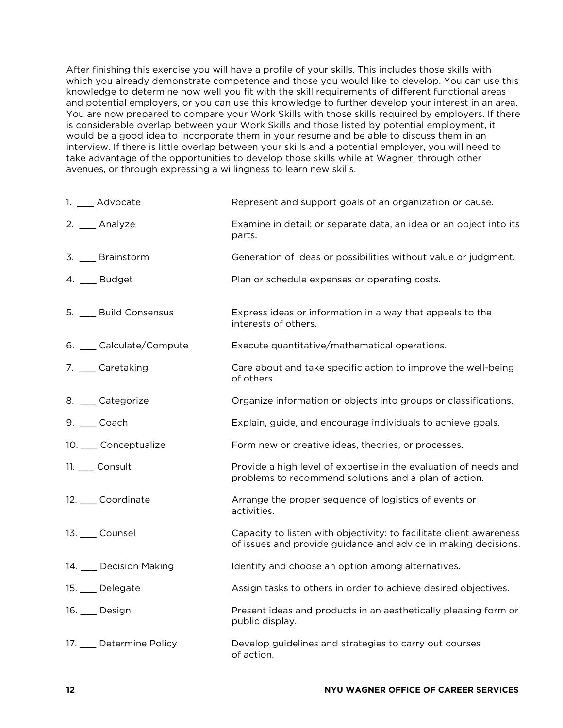After finishing this exercise you will have a profile of your skills. This includes those skills with which you already demonstrate competence and those you would like to develop. You can use this knowledge to determine how well you fit with the skill requirements of different functional areas and potential employers, or you can use this knowledge to further develop your interest in an area. You are now prepared to compare your Work Skills with those skills required by employers. If there is considerable overlap between your Work Skills and those listed by potential employment, it would be a good idea to incorporate them in your resume and be able to discuss them in an interview. If there is little overlap between your skills and a potential employer, you will need to take advantage of the opportunities to develop those skills while at Wagner, through other avenues, or through expressing a willingness to learn new skills.

| 1. __ Advocate          | Represent and support goals of an organization or cause.                                                                              |
|-------------------------|---------------------------------------------------------------------------------------------------------------------------------------|
| 2. __ Analyze           | Examine in detail; or separate data, an idea or an object into its<br>parts.                                                          |
| 3. __ Brainstorm        | Generation of ideas or possibilities without value or judgment.                                                                       |
| 4. __ Budget            | Plan or schedule expenses or operating costs.                                                                                         |
| 5. __ Build Consensus   | Express ideas or information in a way that appeals to the<br>interests of others.                                                     |
| 6. __ Calculate/Compute | Execute quantitative/mathematical operations.                                                                                         |
| 7. __ Caretaking        | Care about and take specific action to improve the well-being<br>of others.                                                           |
| 8. __ Categorize        | Organize information or objects into groups or classifications.                                                                       |
| 9. ____ Coach           | Explain, guide, and encourage individuals to achieve goals.                                                                           |
| 10. __ Conceptualize    | Form new or creative ideas, theories, or processes.                                                                                   |
| 11. ____ Consult        | Provide a high level of expertise in the evaluation of needs and<br>problems to recommend solutions and a plan of action.             |
| 12. __ Coordinate       | Arrange the proper sequence of logistics of events or<br>activities.                                                                  |
| 13. Counsel             | Capacity to listen with objectivity: to facilitate client awareness<br>of issues and provide guidance and advice in making decisions. |
| 14. Decision Making     | Identify and choose an option among alternatives.                                                                                     |
| 15. __ Delegate         | Assign tasks to others in order to achieve desired objectives.                                                                        |
| 16. Design              | Present ideas and products in an aesthetically pleasing form or<br>public display.                                                    |
| 17. __ Determine Policy | Develop guidelines and strategies to carry out courses<br>of action.                                                                  |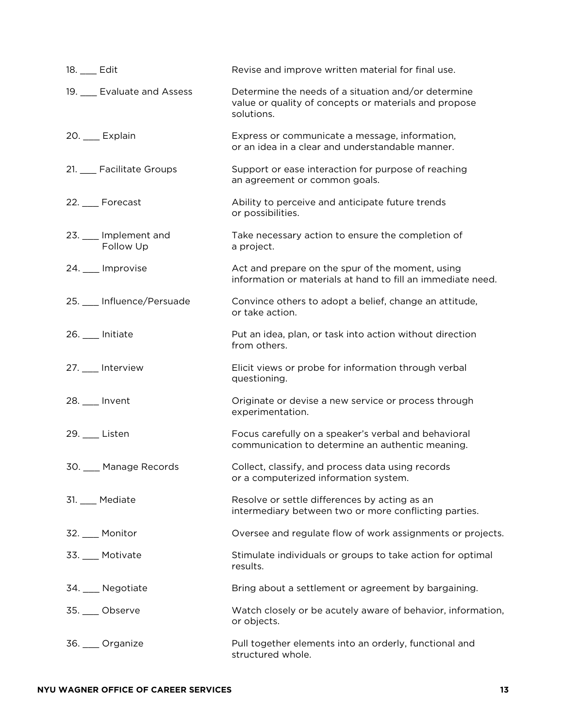| 18. __ Edit |                                   | Revise and improve written material for final use.                                                                         |
|-------------|-----------------------------------|----------------------------------------------------------------------------------------------------------------------------|
|             | 19. __ Evaluate and Assess        | Determine the needs of a situation and/or determine<br>value or quality of concepts or materials and propose<br>solutions. |
|             | 20. __ Explain                    | Express or communicate a message, information,<br>or an idea in a clear and understandable manner.                         |
|             | 21. __ Facilitate Groups          | Support or ease interaction for purpose of reaching<br>an agreement or common goals.                                       |
|             | 22. Forecast                      | Ability to perceive and anticipate future trends<br>or possibilities.                                                      |
|             | 23. __ Implement and<br>Follow Up | Take necessary action to ensure the completion of<br>a project.                                                            |
|             | 24. __ Improvise                  | Act and prepare on the spur of the moment, using<br>information or materials at hand to fill an immediate need.            |
|             | 25. __ Influence/Persuade         | Convince others to adopt a belief, change an attitude,<br>or take action.                                                  |
|             | 26. __ Initiate                   | Put an idea, plan, or task into action without direction<br>from others.                                                   |
|             | 27. __ Interview                  | Elicit views or probe for information through verbal<br>questioning.                                                       |
|             | 28. __ Invent                     | Originate or devise a new service or process through<br>experimentation.                                                   |
|             | 29. __ Listen                     | Focus carefully on a speaker's verbal and behavioral<br>communication to determine an authentic meaning.                   |
|             | 30. ___ Manage Records            | Collect, classify, and process data using records<br>or a computerized information system.                                 |
|             | 31. Mediate                       | Resolve or settle differences by acting as an<br>intermediary between two or more conflicting parties.                     |
|             | 32. __ Monitor                    | Oversee and regulate flow of work assignments or projects.                                                                 |
|             | 33. __ Motivate                   | Stimulate individuals or groups to take action for optimal<br>results.                                                     |
|             | 34. __ Negotiate                  | Bring about a settlement or agreement by bargaining.                                                                       |
|             | 35. Observe                       | Watch closely or be acutely aware of behavior, information,<br>or objects.                                                 |
|             | 36. __ Organize                   | Pull together elements into an orderly, functional and<br>structured whole.                                                |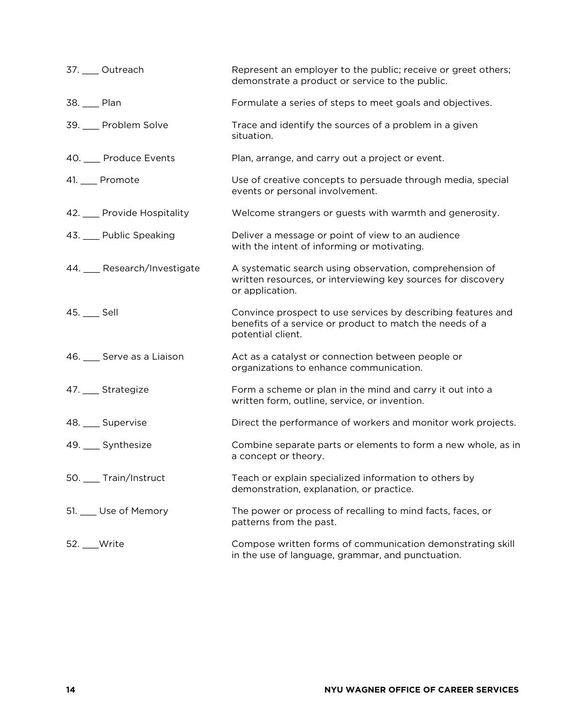| 37. Outreach                | Represent an employer to the public; receive or greet others;<br>demonstrate a product or service to the public.                              |
|-----------------------------|-----------------------------------------------------------------------------------------------------------------------------------------------|
| 38. Plan                    | Formulate a series of steps to meet goals and objectives.                                                                                     |
| 39. __ Problem Solve        | Trace and identify the sources of a problem in a given<br>situation.                                                                          |
| 40. Produce Events          | Plan, arrange, and carry out a project or event.                                                                                              |
| 41. Promote                 | Use of creative concepts to persuade through media, special<br>events or personal involvement.                                                |
| 42. Provide Hospitality     | Welcome strangers or guests with warmth and generosity.                                                                                       |
| 43. Public Speaking         | Deliver a message or point of view to an audience<br>with the intent of informing or motivating.                                              |
| 44. __ Research/Investigate | A systematic search using observation, comprehension of<br>written resources, or interviewing key sources for discovery<br>or application.    |
| 45. __ Sell                 | Convince prospect to use services by describing features and<br>benefits of a service or product to match the needs of a<br>potential client. |
| 46. __ Serve as a Liaison   | Act as a catalyst or connection between people or<br>organizations to enhance communication.                                                  |
| 47. __ Strategize           | Form a scheme or plan in the mind and carry it out into a<br>written form, outline, service, or invention.                                    |
| 48. __ Supervise            | Direct the performance of workers and monitor work projects.                                                                                  |
| 49. __ Synthesize           | Combine separate parts or elements to form a new whole, as in<br>a concept or theory.                                                         |
| 50. ___ Train/Instruct      | Teach or explain specialized information to others by<br>demonstration, explanation, or practice.                                             |
| 51. __ Use of Memory        | The power or process of recalling to mind facts, faces, or<br>patterns from the past.                                                         |
| 52. ___ Write               | Compose written forms of communication demonstrating skill<br>in the use of language, grammar, and punctuation.                               |